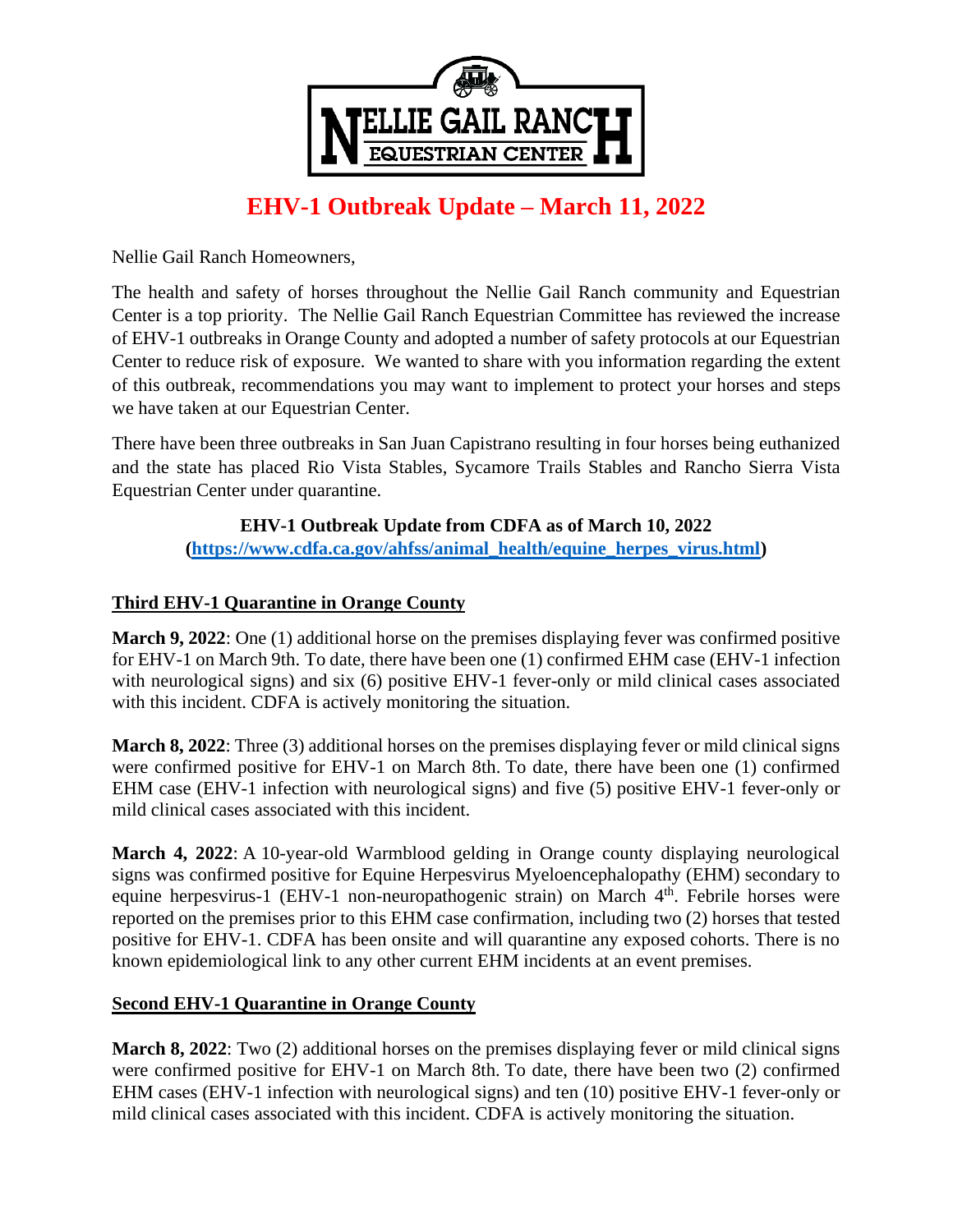

# **EHV-1 Outbreak Update – March 11, 2022**

Nellie Gail Ranch Homeowners,

The health and safety of horses throughout the Nellie Gail Ranch community and Equestrian Center is a top priority. The Nellie Gail Ranch Equestrian Committee has reviewed the increase of EHV-1 outbreaks in Orange County and adopted a number of safety protocols at our Equestrian Center to reduce risk of exposure. We wanted to share with you information regarding the extent of this outbreak, recommendations you may want to implement to protect your horses and steps we have taken at our Equestrian Center.

There have been three outbreaks in San Juan Capistrano resulting in four horses being euthanized and the state has placed Rio Vista Stables, Sycamore Trails Stables and Rancho Sierra Vista Equestrian Center under quarantine.

## **EHV-1 Outbreak Update from CDFA as of March 10, 2022**

**[\(https://www.cdfa.ca.gov/ahfss/animal\\_health/equine\\_herpes\\_virus.html\)](https://www.cdfa.ca.gov/ahfss/animal_health/equine_herpes_virus.html)**

## **Third EHV-1 Quarantine in Orange County**

**March 9, 2022**: One (1) additional horse on the premises displaying fever was confirmed positive for EHV-1 on March 9th. To date, there have been one (1) confirmed EHM case (EHV-1 infection with neurological signs) and six (6) positive EHV-1 fever-only or mild clinical cases associated with this incident. CDFA is actively monitoring the situation.

**March 8, 2022**: Three (3) additional horses on the premises displaying fever or mild clinical signs were confirmed positive for EHV-1 on March 8th. To date, there have been one (1) confirmed EHM case (EHV-1 infection with neurological signs) and five (5) positive EHV-1 fever-only or mild clinical cases associated with this incident.

**March 4, 2022**: A 10-year-old Warmblood gelding in Orange county displaying neurological signs was confirmed positive for Equine Herpesvirus Myeloencephalopathy (EHM) secondary to equine herpesvirus-1 (EHV-1 non-neuropathogenic strain) on March 4<sup>th</sup>. Febrile horses were reported on the premises prior to this EHM case confirmation, including two (2) horses that tested positive for EHV-1. CDFA has been onsite and will quarantine any exposed cohorts. There is no known epidemiological link to any other current EHM incidents at an event premises.

#### **Second EHV-1 Quarantine in Orange County**

**March 8, 2022**: Two (2) additional horses on the premises displaying fever or mild clinical signs were confirmed positive for EHV-1 on March 8th. To date, there have been two (2) confirmed EHM cases (EHV-1 infection with neurological signs) and ten (10) positive EHV-1 fever-only or mild clinical cases associated with this incident. CDFA is actively monitoring the situation.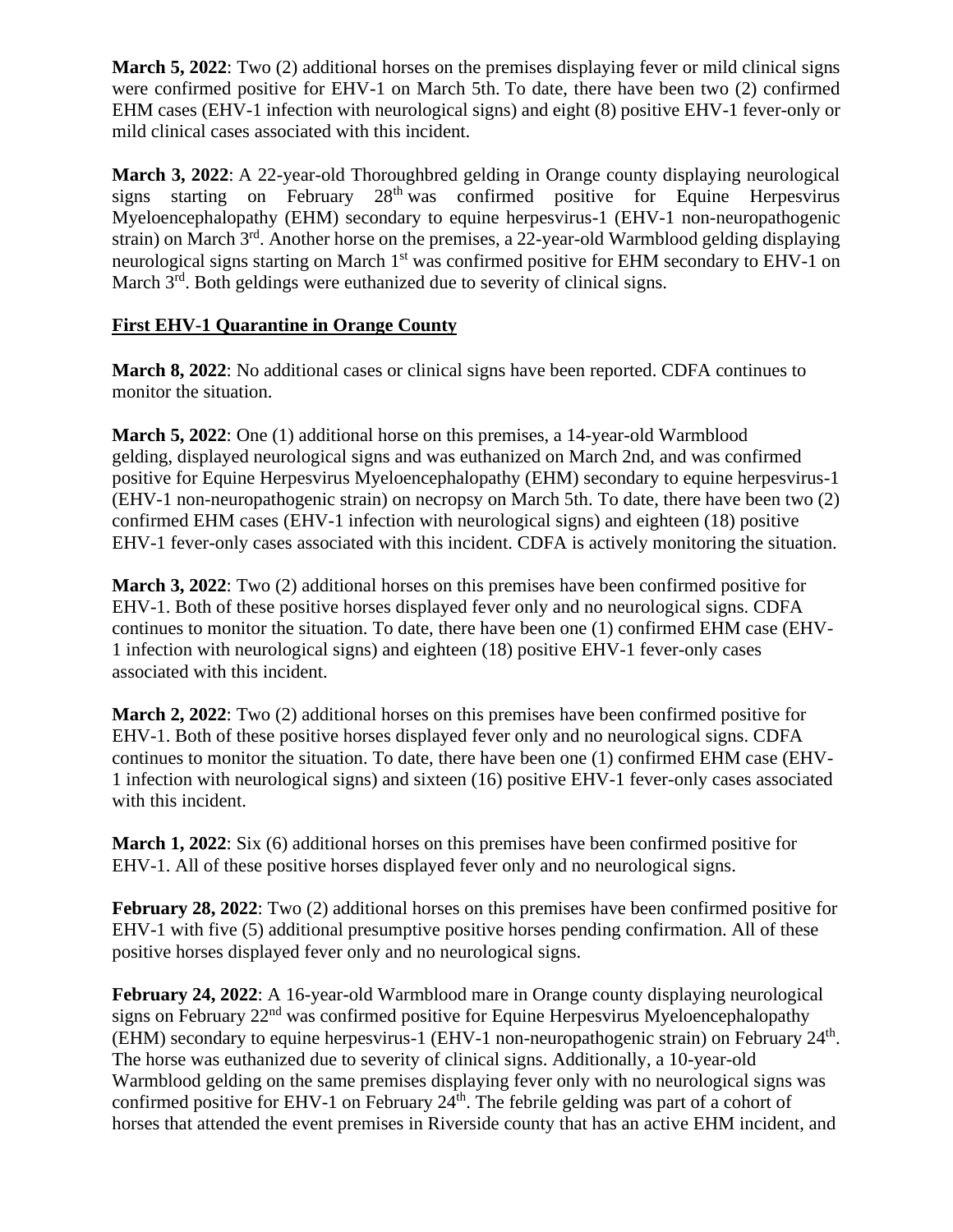**March 5, 2022**: Two (2) additional horses on the premises displaying fever or mild clinical signs were confirmed positive for EHV-1 on March 5th. To date, there have been two (2) confirmed EHM cases (EHV-1 infection with neurological signs) and eight (8) positive EHV-1 fever-only or mild clinical cases associated with this incident.

**March 3, 2022**: A 22-year-old Thoroughbred gelding in Orange county displaying neurological signs starting on February 28<sup>th</sup> was confirmed positive for Equine Herpesvirus Myeloencephalopathy (EHM) secondary to equine herpesvirus-1 (EHV-1 non-neuropathogenic strain) on March 3<sup>rd</sup>. Another horse on the premises, a 22-year-old Warmblood gelding displaying neurological signs starting on March 1<sup>st</sup> was confirmed positive for EHM secondary to EHV-1 on March  $3<sup>rd</sup>$ . Both geldings were euthanized due to severity of clinical signs.

## **First EHV-1 Quarantine in Orange County**

**March 8, 2022**: No additional cases or clinical signs have been reported. CDFA continues to monitor the situation.

**March 5, 2022**: One (1) additional horse on this premises, a 14-year-old Warmblood gelding, displayed neurological signs and was euthanized on March 2nd, and was confirmed positive for Equine Herpesvirus Myeloencephalopathy (EHM) secondary to equine herpesvirus-1 (EHV-1 non-neuropathogenic strain) on necropsy on March 5th. To date, there have been two (2) confirmed EHM cases (EHV-1 infection with neurological signs) and eighteen (18) positive EHV-1 fever-only cases associated with this incident. CDFA is actively monitoring the situation.

**March 3, 2022**: Two (2) additional horses on this premises have been confirmed positive for EHV-1. Both of these positive horses displayed fever only and no neurological signs. CDFA continues to monitor the situation. To date, there have been one (1) confirmed EHM case (EHV-1 infection with neurological signs) and eighteen (18) positive EHV-1 fever-only cases associated with this incident.

**March 2, 2022**: Two (2) additional horses on this premises have been confirmed positive for EHV-1. Both of these positive horses displayed fever only and no neurological signs. CDFA continues to monitor the situation. To date, there have been one (1) confirmed EHM case (EHV-1 infection with neurological signs) and sixteen (16) positive EHV-1 fever-only cases associated with this incident.

**March 1, 2022**: Six (6) additional horses on this premises have been confirmed positive for EHV-1. All of these positive horses displayed fever only and no neurological signs.

**February 28, 2022**: Two (2) additional horses on this premises have been confirmed positive for EHV-1 with five (5) additional presumptive positive horses pending confirmation. All of these positive horses displayed fever only and no neurological signs.

**February 24, 2022**: A 16-year-old Warmblood mare in Orange county displaying neurological signs on February 22<sup>nd</sup> was confirmed positive for Equine Herpesvirus Myeloencephalopathy (EHM) secondary to equine herpesvirus-1 (EHV-1 non-neuropathogenic strain) on February 24<sup>th</sup>. The horse was euthanized due to severity of clinical signs. Additionally, a 10-year-old Warmblood gelding on the same premises displaying fever only with no neurological signs was confirmed positive for EHV-1 on February  $24<sup>th</sup>$ . The febrile gelding was part of a cohort of horses that attended the event premises in Riverside county that has an active EHM incident, and